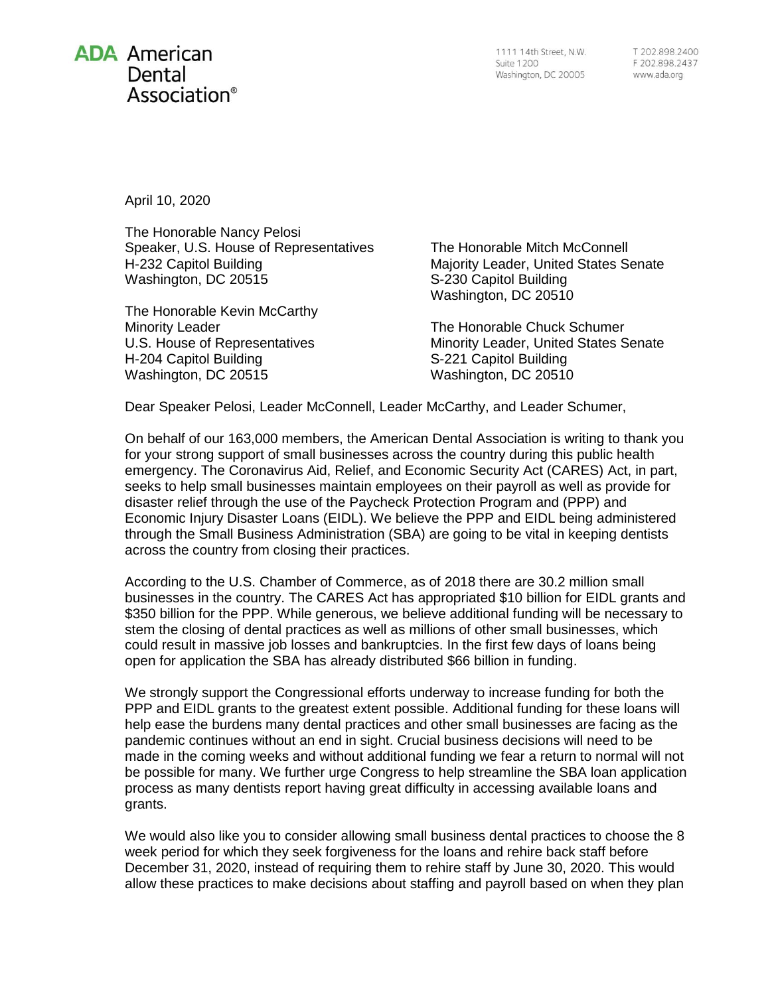## **ADA American** Dental Association<sup>®</sup>

1111 14th Street, N.W. **Suite 1200** Washington, DC 20005

T 202.898.2400 F 202.898.2437 www.ada.org

April 10, 2020

The Honorable Nancy Pelosi Speaker, U.S. House of Representatives H-232 Capitol Building Washington, DC 20515

The Honorable Kevin McCarthy Minority Leader U.S. House of Representatives H-204 Capitol Building Washington, DC 20515

The Honorable Mitch McConnell Majority Leader, United States Senate S-230 Capitol Building Washington, DC 20510

The Honorable Chuck Schumer Minority Leader, United States Senate S-221 Capitol Building Washington, DC 20510

Dear Speaker Pelosi, Leader McConnell, Leader McCarthy, and Leader Schumer,

On behalf of our 163,000 members, the American Dental Association is writing to thank you for your strong support of small businesses across the country during this public health emergency. The Coronavirus Aid, Relief, and Economic Security Act (CARES) Act, in part, seeks to help small businesses maintain employees on their payroll as well as provide for disaster relief through the use of the Paycheck Protection Program and (PPP) and Economic Injury Disaster Loans (EIDL). We believe the PPP and EIDL being administered through the Small Business Administration (SBA) are going to be vital in keeping dentists across the country from closing their practices.

According to the U.S. Chamber of Commerce, as of 2018 there are 30.2 million small businesses in the country. The CARES Act has appropriated \$10 billion for EIDL grants and \$350 billion for the PPP. While generous, we believe additional funding will be necessary to stem the closing of dental practices as well as millions of other small businesses, which could result in massive job losses and bankruptcies. In the first few days of loans being open for application the SBA has already distributed \$66 billion in funding.

We strongly support the Congressional efforts underway to increase funding for both the PPP and EIDL grants to the greatest extent possible. Additional funding for these loans will help ease the burdens many dental practices and other small businesses are facing as the pandemic continues without an end in sight. Crucial business decisions will need to be made in the coming weeks and without additional funding we fear a return to normal will not be possible for many. We further urge Congress to help streamline the SBA loan application process as many dentists report having great difficulty in accessing available loans and grants.

We would also like you to consider allowing small business dental practices to choose the 8 week period for which they seek forgiveness for the loans and rehire back staff before December 31, 2020, instead of requiring them to rehire staff by June 30, 2020. This would allow these practices to make decisions about staffing and payroll based on when they plan